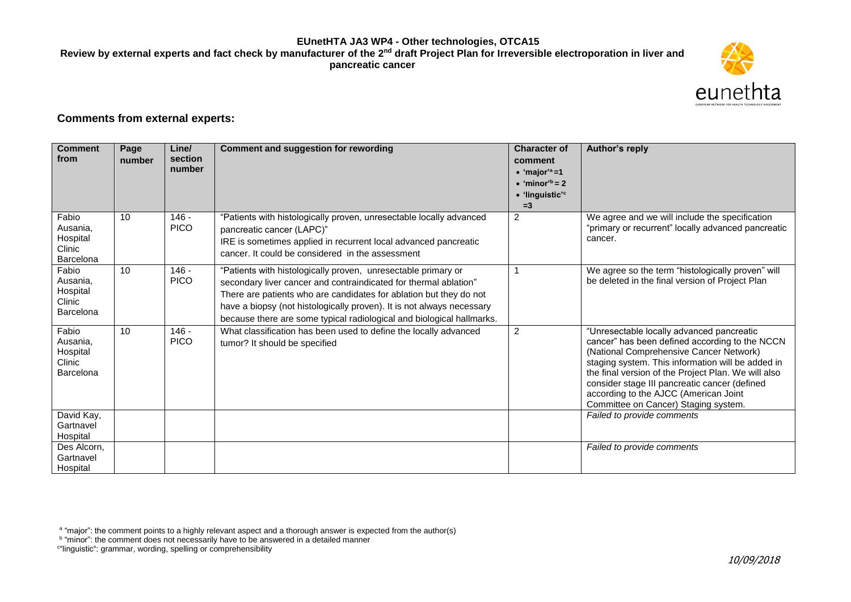### **EUnetHTA JA3 WP4 - Other technologies, OTCA15** Review by external experts and fact check by manufacturer of the 2<sup>nd</sup> draft Project Plan for Irreversible electroporation in liver and **pancreatic cancer**



## **Comments from external experts:**

| <b>Comment</b><br>from                               | Page<br>number | Line/<br>section<br>number | Comment and suggestion for rewording                                                                                                                                                                                                                                                                                                                      | <b>Character of</b><br>comment<br>$\bullet$ 'major' <sup>a</sup> =1<br>$\bullet$ 'minor <sup>'b</sup> = 2<br>· 'linguistic' <sup>c</sup><br>$=3$ | Author's reply                                                                                                                                                                                                                                                                                                                                                                       |
|------------------------------------------------------|----------------|----------------------------|-----------------------------------------------------------------------------------------------------------------------------------------------------------------------------------------------------------------------------------------------------------------------------------------------------------------------------------------------------------|--------------------------------------------------------------------------------------------------------------------------------------------------|--------------------------------------------------------------------------------------------------------------------------------------------------------------------------------------------------------------------------------------------------------------------------------------------------------------------------------------------------------------------------------------|
| Fabio<br>Ausania,<br>Hospital<br>Clinic<br>Barcelona | 10             | $146 -$<br><b>PICO</b>     | "Patients with histologically proven, unresectable locally advanced<br>pancreatic cancer (LAPC)"<br>IRE is sometimes applied in recurrent local advanced pancreatic<br>cancer. It could be considered in the assessment                                                                                                                                   | $\overline{2}$                                                                                                                                   | We agree and we will include the specification<br>"primary or recurrent" locally advanced pancreatic<br>cancer.                                                                                                                                                                                                                                                                      |
| Fabio<br>Ausania.<br>Hospital<br>Clinic<br>Barcelona | 10             | $146 -$<br><b>PICO</b>     | "Patients with histologically proven, unresectable primary or<br>secondary liver cancer and contraindicated for thermal ablation"<br>There are patients who are candidates for ablation but they do not<br>have a biopsy (not histologically proven). It is not always necessary<br>because there are some typical radiological and biological hallmarks. |                                                                                                                                                  | We agree so the term "histologically proven" will<br>be deleted in the final version of Project Plan                                                                                                                                                                                                                                                                                 |
| Fabio<br>Ausania,<br>Hospital<br>Clinic<br>Barcelona | 10             | $146 -$<br><b>PICO</b>     | What classification has been used to define the locally advanced<br>tumor? It should be specified                                                                                                                                                                                                                                                         | $\overline{2}$                                                                                                                                   | "Unresectable locally advanced pancreatic<br>cancer" has been defined according to the NCCN<br>(National Comprehensive Cancer Network)<br>staging system. This information will be added in<br>the final version of the Project Plan. We will also<br>consider stage III pancreatic cancer (defined<br>according to the AJCC (American Joint<br>Committee on Cancer) Staging system. |
| David Kay,<br>Gartnavel<br>Hospital                  |                |                            |                                                                                                                                                                                                                                                                                                                                                           |                                                                                                                                                  | Failed to provide comments                                                                                                                                                                                                                                                                                                                                                           |
| Des Alcorn,<br>Gartnavel<br>Hospital                 |                |                            |                                                                                                                                                                                                                                                                                                                                                           |                                                                                                                                                  | Failed to provide comments                                                                                                                                                                                                                                                                                                                                                           |

<sup>a</sup> "major": the comment points to a highly relevant aspect and a thorough answer is expected from the author(s)<br><sup>b</sup> "minor": the comment does not necessarily have to be answered in a detailed manner

c "linguistic": grammar, wording, spelling or comprehensibility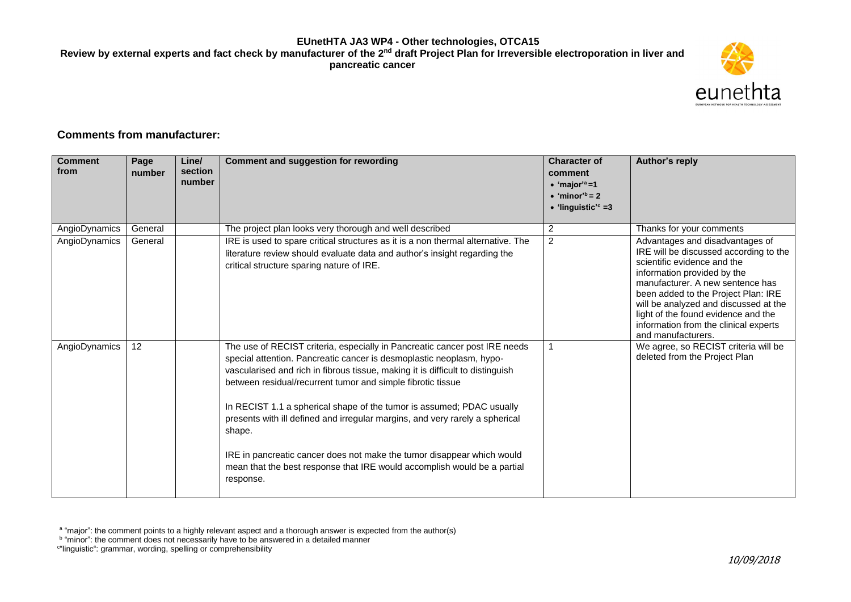### **EUnetHTA JA3 WP4 - Other technologies, OTCA15** Review by external experts and fact check by manufacturer of the 2<sup>nd</sup> draft Project Plan for Irreversible electroporation in liver and **pancreatic cancer**



# **Comments from manufacturer:**

| <b>Comment</b><br>from | Page<br>number | Line/<br>section<br>number | <b>Comment and suggestion for rewording</b>                                                                                                                                                                                                                                                                                                                                                                                                                                                                                                                                                                                               | <b>Character of</b><br>comment<br>$\bullet$ 'major' <sup>a</sup> =1<br>$\bullet$ 'minor' <sup>b</sup> = 2<br>$\bullet$ 'linguistic' <sup>c</sup> =3 | Author's reply                                                                                                                                                                                                                                                                                                                                                    |
|------------------------|----------------|----------------------------|-------------------------------------------------------------------------------------------------------------------------------------------------------------------------------------------------------------------------------------------------------------------------------------------------------------------------------------------------------------------------------------------------------------------------------------------------------------------------------------------------------------------------------------------------------------------------------------------------------------------------------------------|-----------------------------------------------------------------------------------------------------------------------------------------------------|-------------------------------------------------------------------------------------------------------------------------------------------------------------------------------------------------------------------------------------------------------------------------------------------------------------------------------------------------------------------|
| AngioDynamics          | General        |                            | The project plan looks very thorough and well described                                                                                                                                                                                                                                                                                                                                                                                                                                                                                                                                                                                   | $\overline{c}$                                                                                                                                      | Thanks for your comments                                                                                                                                                                                                                                                                                                                                          |
| AngioDynamics          | General        |                            | IRE is used to spare critical structures as it is a non thermal alternative. The<br>literature review should evaluate data and author's insight regarding the<br>critical structure sparing nature of IRE.                                                                                                                                                                                                                                                                                                                                                                                                                                | $\overline{c}$                                                                                                                                      | Advantages and disadvantages of<br>IRE will be discussed according to the<br>scientific evidence and the<br>information provided by the<br>manufacturer. A new sentence has<br>been added to the Project Plan: IRE<br>will be analyzed and discussed at the<br>light of the found evidence and the<br>information from the clinical experts<br>and manufacturers. |
| AngioDynamics          | 12             |                            | The use of RECIST criteria, especially in Pancreatic cancer post IRE needs<br>special attention. Pancreatic cancer is desmoplastic neoplasm, hypo-<br>vascularised and rich in fibrous tissue, making it is difficult to distinguish<br>between residual/recurrent tumor and simple fibrotic tissue<br>In RECIST 1.1 a spherical shape of the tumor is assumed; PDAC usually<br>presents with ill defined and irregular margins, and very rarely a spherical<br>shape.<br>IRE in pancreatic cancer does not make the tumor disappear which would<br>mean that the best response that IRE would accomplish would be a partial<br>response. |                                                                                                                                                     | We agree, so RECIST criteria will be<br>deleted from the Project Plan                                                                                                                                                                                                                                                                                             |

<sup>a</sup> "major": the comment points to a highly relevant aspect and a thorough answer is expected from the author(s)<br><sup>b</sup> "minor": the comment does not necessarily have to be answered in a detailed manner

c "linguistic": grammar, wording, spelling or comprehensibility